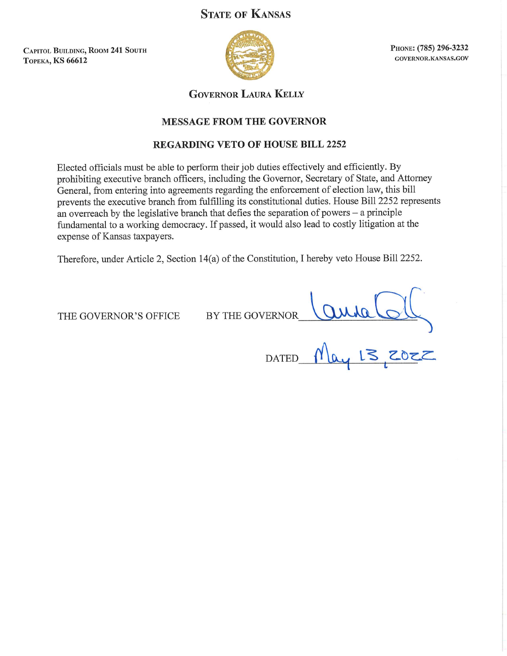# **STATE OF KANSAS**

**CAPITOL BUILDING, ROOM 241 SOUTH ТОРЕКА, KS 66612** 



PHONE: (785) 296-3232 GOVERNOR.KANSAS.GOV

**GOVERNOR LAURA KELLY** 

### **MESSAGE FROM THE GOVERNOR**

## **REGARDING VETO OF HOUSE BILL 2252**

Elected officials must be able to perform their job duties effectively and efficiently. By prohibiting executive branch officers, including the Governor, Secretary of State, and Attorney General, from entering into agreements regarding the enforcement of election law, this bill prevents the executive branch from fulfilling its constitutional duties. House Bill 2252 represents an overreach by the legislative branch that defies the separation of powers  $-$  a principle fundamental to a working democracy. If passed, it would also lead to costly litigation at the expense of Kansas taxpayers.

Therefore, under Article 2, Section 14(a) of the Constitution, I hereby veto House Bill 2252.

THE GOVERNOR'S OFFICE

BY THE GOVERNOR

 $rac{2000000}{3000}$ 

**DATED**